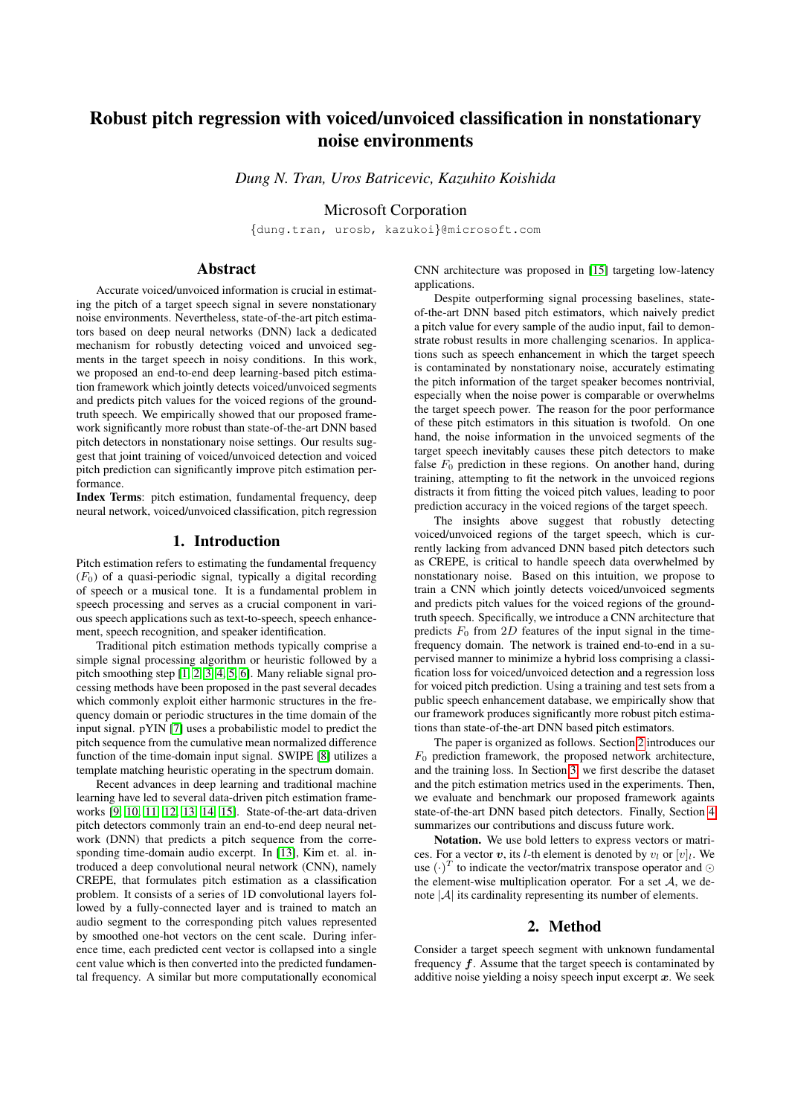# Robust pitch regression with voiced/unvoiced classification in nonstationary noise environments

*Dung N. Tran, Uros Batricevic, Kazuhito Koishida*

Microsoft Corporation

{dung.tran, urosb, kazukoi}@microsoft.com

## Abstract

Accurate voiced/unvoiced information is crucial in estimating the pitch of a target speech signal in severe nonstationary noise environments. Nevertheless, state-of-the-art pitch estimators based on deep neural networks (DNN) lack a dedicated mechanism for robustly detecting voiced and unvoiced segments in the target speech in noisy conditions. In this work, we proposed an end-to-end deep learning-based pitch estimation framework which jointly detects voiced/unvoiced segments and predicts pitch values for the voiced regions of the groundtruth speech. We empirically showed that our proposed framework significantly more robust than state-of-the-art DNN based pitch detectors in nonstationary noise settings. Our results suggest that joint training of voiced/unvoiced detection and voiced pitch prediction can significantly improve pitch estimation performance.

Index Terms: pitch estimation, fundamental frequency, deep neural network, voiced/unvoiced classification, pitch regression

### 1. Introduction

Pitch estimation refers to estimating the fundamental frequency  $(F<sub>0</sub>)$  of a quasi-periodic signal, typically a digital recording of speech or a musical tone. It is a fundamental problem in speech processing and serves as a crucial component in various speech applications such as text-to-speech, speech enhancement, speech recognition, and speaker identification.

Traditional pitch estimation methods typically comprise a simple signal processing algorithm or heuristic followed by a pitch smoothing step [\[1,](#page-4-0) [2,](#page-4-1) [3,](#page-4-2) [4,](#page-4-3) [5,](#page-4-4) [6\]](#page-4-5). Many reliable signal processing methods have been proposed in the past several decades which commonly exploit either harmonic structures in the frequency domain or periodic structures in the time domain of the input signal. pYIN [\[7\]](#page-4-6) uses a probabilistic model to predict the pitch sequence from the cumulative mean normalized difference function of the time-domain input signal. SWIPE [\[8\]](#page-4-7) utilizes a template matching heuristic operating in the spectrum domain.

Recent advances in deep learning and traditional machine learning have led to several data-driven pitch estimation frameworks [\[9,](#page-4-8) [10,](#page-4-9) [11,](#page-4-10) [12,](#page-4-11) [13,](#page-4-12) [14,](#page-4-13) [15\]](#page-4-14). State-of-the-art data-driven pitch detectors commonly train an end-to-end deep neural network (DNN) that predicts a pitch sequence from the corresponding time-domain audio excerpt. In [\[13\]](#page-4-12), Kim et. al. introduced a deep convolutional neural network (CNN), namely CREPE, that formulates pitch estimation as a classification problem. It consists of a series of 1D convolutional layers followed by a fully-connected layer and is trained to match an audio segment to the corresponding pitch values represented by smoothed one-hot vectors on the cent scale. During inference time, each predicted cent vector is collapsed into a single cent value which is then converted into the predicted fundamental frequency. A similar but more computationally economical CNN architecture was proposed in [\[15\]](#page-4-14) targeting low-latency applications.

Despite outperforming signal processing baselines, stateof-the-art DNN based pitch estimators, which naively predict a pitch value for every sample of the audio input, fail to demonstrate robust results in more challenging scenarios. In applications such as speech enhancement in which the target speech is contaminated by nonstationary noise, accurately estimating the pitch information of the target speaker becomes nontrivial, especially when the noise power is comparable or overwhelms the target speech power. The reason for the poor performance of these pitch estimators in this situation is twofold. On one hand, the noise information in the unvoiced segments of the target speech inevitably causes these pitch detectors to make false  $F_0$  prediction in these regions. On another hand, during training, attempting to fit the network in the unvoiced regions distracts it from fitting the voiced pitch values, leading to poor prediction accuracy in the voiced regions of the target speech.

The insights above suggest that robustly detecting voiced/unvoiced regions of the target speech, which is currently lacking from advanced DNN based pitch detectors such as CREPE, is critical to handle speech data overwhelmed by nonstationary noise. Based on this intuition, we propose to train a CNN which jointly detects voiced/unvoiced segments and predicts pitch values for the voiced regions of the groundtruth speech. Specifically, we introduce a CNN architecture that predicts  $F_0$  from 2D features of the input signal in the timefrequency domain. The network is trained end-to-end in a supervised manner to minimize a hybrid loss comprising a classification loss for voiced/unvoiced detection and a regression loss for voiced pitch prediction. Using a training and test sets from a public speech enhancement database, we empirically show that our framework produces significantly more robust pitch estimations than state-of-the-art DNN based pitch estimators.

The paper is organized as follows. Section [2](#page-0-0) introduces our  $F_0$  prediction framework, the proposed network architecture, and the training loss. In Section [3,](#page-1-0) we first describe the dataset and the pitch estimation metrics used in the experiments. Then, we evaluate and benchmark our proposed framework againts state-of-the-art DNN based pitch detectors. Finally, Section [4](#page-3-0) summarizes our contributions and discuss future work.

Notation. We use bold letters to express vectors or matrices. For a vector v, its *l*-th element is denoted by  $v_l$  or  $[v]_l$ . We use  $(\cdot)^T$  to indicate the vector/matrix transpose operator and  $\odot$ the element-wise multiplication operator. For a set  $A$ , we denote  $|\mathcal{A}|$  its cardinality representing its number of elements.

## 2. Method

<span id="page-0-0"></span>Consider a target speech segment with unknown fundamental frequency  $f$ . Assume that the target speech is contaminated by additive noise yielding a noisy speech input excerpt  $x$ . We seek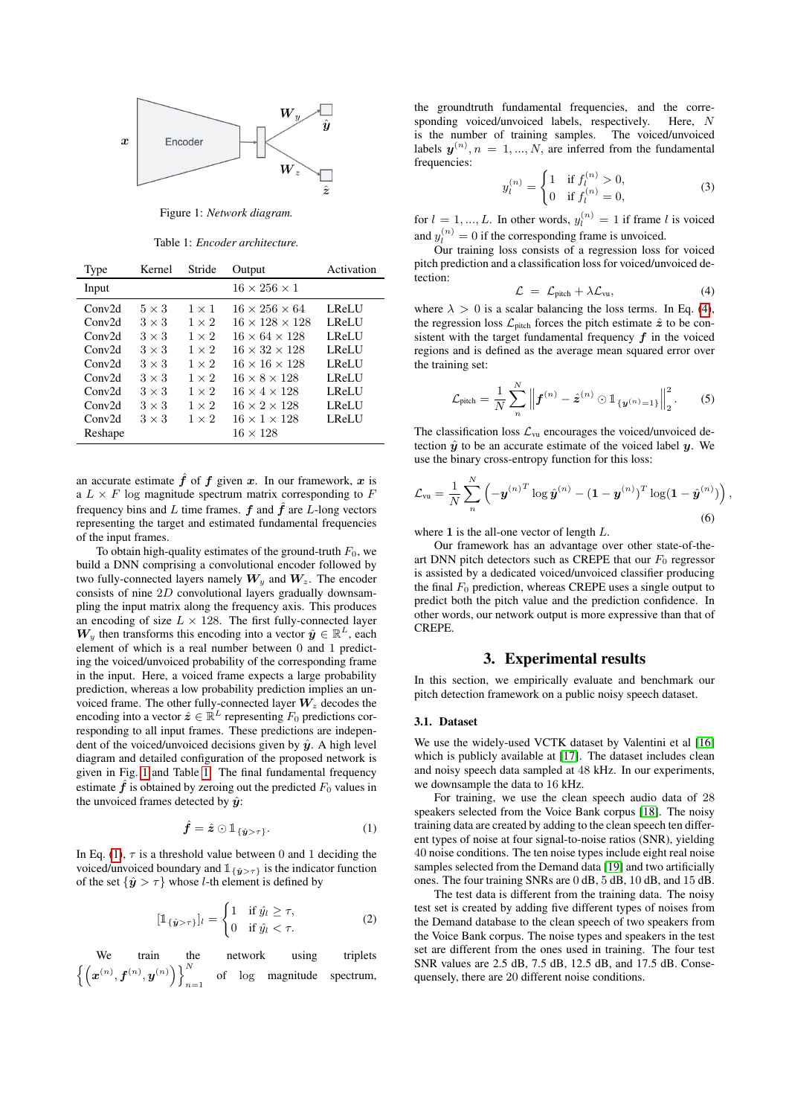<span id="page-1-1"></span>

Figure 1: *Network diagram.*

Table 1: *Encoder architecture.*

<span id="page-1-2"></span>

| Type    | Kernel       | Stride       | Output                     | Activation |
|---------|--------------|--------------|----------------------------|------------|
| Input   |              |              | $16 \times 256 \times 1$   |            |
| Conv2d  | $5 \times 3$ | $1 \times 1$ | $16 \times 256 \times 64$  | LReLU      |
| Conv2d  | $3 \times 3$ | $1 \times 2$ | $16 \times 128 \times 128$ | LReLU      |
| Conv2d  | $3 \times 3$ | $1 \times 2$ | $16 \times 64 \times 128$  | LReLU      |
| Conv2d  | $3 \times 3$ | $1 \times 2$ | $16 \times 32 \times 128$  | LReLU      |
| Conv2d  | $3 \times 3$ | $1 \times 2$ | $16 \times 16 \times 128$  | LReLU      |
| Conv2d  | $3 \times 3$ | $1 \times 2$ | $16 \times 8 \times 128$   | LReLU      |
| Conv2d  | $3 \times 3$ | $1 \times 2$ | $16 \times 4 \times 128$   | LReLU      |
| Conv2d  | $3 \times 3$ | $1 \times 2$ | $16 \times 2 \times 128$   | LReLU      |
| Conv2d  | $3 \times 3$ | $1 \times 2$ | $16 \times 1 \times 128$   | LReLU      |
| Reshape |              |              | $16 \times 128$            |            |

an accurate estimate  $\hat{f}$  of  $f$  given  $x$ . In our framework,  $x$  is a  $L \times F$  log magnitude spectrum matrix corresponding to F frequency bins and L time frames.  $f$  and  $\ddot{f}$  are L-long vectors representing the target and estimated fundamental frequencies of the input frames.

To obtain high-quality estimates of the ground-truth  $F_0$ , we build a DNN comprising a convolutional encoder followed by two fully-connected layers namely  $W_y$  and  $W_z$ . The encoder consists of nine 2D convolutional layers gradually downsampling the input matrix along the frequency axis. This produces an encoding of size  $L \times 128$ . The first fully-connected layer  $W_y$  then transforms this encoding into a vector  $\hat{y} \in \mathbb{R}^L$ , each element of which is a real number between 0 and 1 predicting the voiced/unvoiced probability of the corresponding frame in the input. Here, a voiced frame expects a large probability prediction, whereas a low probability prediction implies an unvoiced frame. The other fully-connected layer  $W_z$  decodes the encoding into a vector  $\hat{\boldsymbol{z}} \in \mathbb{R}^L$  representing  $F_0$  predictions corresponding to all input frames. These predictions are independent of the voiced/unvoiced decisions given by  $\hat{y}$ . A high level diagram and detailed configuration of the proposed network is given in Fig. [1](#page-1-1) and Table [1.](#page-1-2) The final fundamental frequency estimate  $\hat{f}$  is obtained by zeroing out the predicted  $F_0$  values in the unvoiced frames detected by  $\hat{y}$ :

<span id="page-1-3"></span>
$$
\hat{f} = \hat{z} \odot \mathbb{1}_{\{\hat{y} > \tau\}}.
$$
 (1)

In Eq. [\(1\)](#page-1-3),  $\tau$  is a threshold value between 0 and 1 deciding the voiced/unvoiced boundary and  $\mathbb{1}_{\{\hat{y}>\tau\}}$  is the indicator function of the set  $\{\hat{\mathbf{y}} > \tau\}$  whose *l*-th element is defined by

$$
[\mathbb{1}_{\{\hat{y}>\tau\}}]_l = \begin{cases} 1 & \text{if } \hat{y}_l \geq \tau, \\ 0 & \text{if } \hat{y}_l < \tau. \end{cases}
$$
 (2)

We train the network using triplets  $\left\{\left(\boldsymbol{x}^{(n)}, \boldsymbol{f}^{(n)}, \boldsymbol{y}^{(n)}\right)\right\}^N$  $n=1$ of log magnitude spectrum, the groundtruth fundamental frequencies, and the corresponding voiced/unvoiced labels, respectively. Here, N is the number of training samples. The voiced/unvoiced labels  $y^{(n)}$ ,  $n = 1, ..., N$ , are inferred from the fundamental frequencies:  $\overline{a}$ 

$$
y_l^{(n)} = \begin{cases} 1 & \text{if } f_l^{(n)} > 0, \\ 0 & \text{if } f_l^{(n)} = 0, \end{cases}
$$
 (3)

for  $l = 1, ..., L$ . In other words,  $y_l^{(n)} = 1$  if frame l is voiced and  $y_l^{(n)} = 0$  if the corresponding frame is unvoiced.

Our training loss consists of a regression loss for voiced pitch prediction and a classification loss for voiced/unvoiced detection:

<span id="page-1-4"></span>
$$
\mathcal{L} = \mathcal{L}_{pitch} + \lambda \mathcal{L}_{vu}, \qquad (4)
$$

where  $\lambda > 0$  is a scalar balancing the loss terms. In Eq. [\(4\)](#page-1-4), the regression loss  $\mathcal{L}_{pitch}$  forces the pitch estimate  $\hat{z}$  to be consistent with the target fundamental frequency  $f$  in the voiced regions and is defined as the average mean squared error over the training set:

$$
\mathcal{L}_{\text{pitch}} = \frac{1}{N} \sum_{n}^{N} \left\| \boldsymbol{f}^{(n)} - \hat{\boldsymbol{z}}^{(n)} \odot \mathbb{1}_{\{\boldsymbol{y}^{(n)}=1\}} \right\|_{2}^{2}.
$$
 (5)

The classification loss  $\mathcal{L}_{\text{vu}}$  encourages the voiced/unvoiced detection  $\hat{y}$  to be an accurate estimate of the voiced label y. We use the binary cross-entropy function for this loss:

$$
\mathcal{L}_{\text{vu}} = \frac{1}{N} \sum_{n}^{N} \left( -\boldsymbol{y}^{(n)T} \log \hat{\boldsymbol{y}}^{(n)} - (\boldsymbol{1} - \boldsymbol{y}^{(n)})^{T} \log(\boldsymbol{1} - \hat{\boldsymbol{y}}^{(n)}) \right),\tag{6}
$$

where  $1$  is the all-one vector of length  $L$ .

Our framework has an advantage over other state-of-theart DNN pitch detectors such as CREPE that our  $F_0$  regressor is assisted by a dedicated voiced/unvoiced classifier producing the final  $F_0$  prediction, whereas CREPE uses a single output to predict both the pitch value and the prediction confidence. In other words, our network output is more expressive than that of CREPE.

## 3. Experimental results

<span id="page-1-0"></span>In this section, we empirically evaluate and benchmark our pitch detection framework on a public noisy speech dataset.

## <span id="page-1-5"></span>3.1. Dataset

We use the widely-used VCTK dataset by Valentini et al [\[16\]](#page-4-15) which is publicly available at [\[17\]](#page-4-16). The dataset includes clean and noisy speech data sampled at 48 kHz. In our experiments, we downsample the data to 16 kHz.

For training, we use the clean speech audio data of 28 speakers selected from the Voice Bank corpus [\[18\]](#page-4-17). The noisy training data are created by adding to the clean speech ten different types of noise at four signal-to-noise ratios (SNR), yielding 40 noise conditions. The ten noise types include eight real noise samples selected from the Demand data [\[19\]](#page-4-18) and two artificially ones. The four training SNRs are 0 dB, 5 dB, 10 dB, and 15 dB.

The test data is different from the training data. The noisy test set is created by adding five different types of noises from the Demand database to the clean speech of two speakers from the Voice Bank corpus. The noise types and speakers in the test set are different from the ones used in training. The four test SNR values are 2.5 dB, 7.5 dB, 12.5 dB, and 17.5 dB. Consequensely, there are 20 different noise conditions.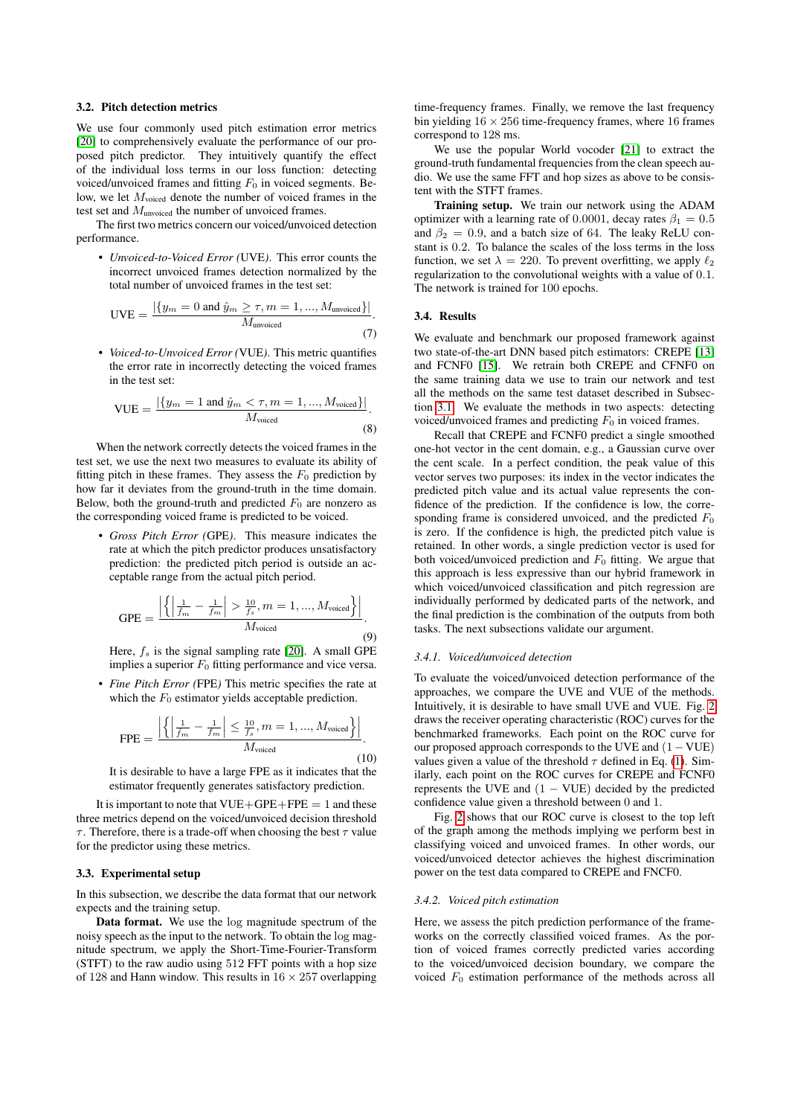#### <span id="page-2-0"></span>3.2. Pitch detection metrics

We use four commonly used pitch estimation error metrics [\[20\]](#page-4-19) to comprehensively evaluate the performance of our proposed pitch predictor. They intuitively quantify the effect of the individual loss terms in our loss function: detecting voiced/unvoiced frames and fitting  $F_0$  in voiced segments. Below, we let  $M_{\text{voiced}}$  denote the number of voiced frames in the test set and  $M_{\text{unvoiced}}$  the number of unvoiced frames.

The first two metrics concern our voiced/unvoiced detection performance.

• *Unvoiced-to-Voiced Error (*UVE*)*. This error counts the incorrect unvoiced frames detection normalized by the total number of unvoiced frames in the test set:

$$
UVE = \frac{|\{y_m = 0 \text{ and } \hat{y}_m \ge \tau, m = 1, ..., M_{\text{unvoiced}}\}|}{M_{\text{unvoiced}}}.
$$
\n(7)

• *Voiced-to-Unvoiced Error (*VUE*)*. This metric quantifies the error rate in incorrectly detecting the voiced frames in the test set:

$$
\text{VUE} = \frac{|\{y_m = 1 \text{ and } \hat{y}_m < \tau, m = 1, ..., M_{\text{voiced}}\}|}{M_{\text{voiced}}}. \tag{8}
$$

When the network correctly detects the voiced frames in the test set, we use the next two measures to evaluate its ability of fitting pitch in these frames. They assess the  $F_0$  prediction by how far it deviates from the ground-truth in the time domain. Below, both the ground-truth and predicted  $F_0$  are nonzero as the corresponding voiced frame is predicted to be voiced.

• *Gross Pitch Error (*GPE*)*. This measure indicates the rate at which the pitch predictor produces unsatisfactory prediction: the predicted pitch period is outside an acceptable range from the actual pitch period.

$$
GPE = \frac{\left| \left\{ \left| \frac{1}{\hat{f}_m} - \frac{1}{f_m} \right| > \frac{10}{f_s}, m = 1, ..., M_{\text{voiced}} \right\} \right|}{M_{\text{voiced}}}.
$$
\n(9)

Here,  $f_s$  is the signal sampling rate [\[20\]](#page-4-19). A small GPE implies a superior  $F_0$  fitting performance and vice versa.

• *Fine Pitch Error* (FPE) This metric specifies the rate at which the  $F_0$  estimator yields acceptable prediction.

$$
\text{FPE} = \frac{\left| \left\{ \left| \frac{1}{\bar{f}_m} - \frac{1}{f_m} \right| \le \frac{10}{f_s}, m = 1, ..., M_{\text{voiced}} \right\} \right|}{M_{\text{voiced}}}.
$$
\n(10)

It is desirable to have a large FPE as it indicates that the estimator frequently generates satisfactory prediction.

It is important to note that  $VUE+GPE+FPE = 1$  and these three metrics depend on the voiced/unvoiced decision threshold  $\tau$ . Therefore, there is a trade-off when choosing the best  $\tau$  value for the predictor using these metrics.

#### 3.3. Experimental setup

In this subsection, we describe the data format that our network expects and the training setup.

Data format. We use the log magnitude spectrum of the noisy speech as the input to the network. To obtain the log magnitude spectrum, we apply the Short-Time-Fourier-Transform (STFT) to the raw audio using 512 FFT points with a hop size of 128 and Hann window. This results in  $16 \times 257$  overlapping time-frequency frames. Finally, we remove the last frequency bin yielding  $16 \times 256$  time-frequency frames, where 16 frames correspond to 128 ms.

We use the popular World vocoder [\[21\]](#page-4-20) to extract the ground-truth fundamental frequencies from the clean speech audio. We use the same FFT and hop sizes as above to be consistent with the STFT frames.

Training setup. We train our network using the ADAM optimizer with a learning rate of 0.0001, decay rates  $\beta_1 = 0.5$ and  $\beta_2 = 0.9$ , and a batch size of 64. The leaky ReLU constant is 0.2. To balance the scales of the loss terms in the loss function, we set  $\lambda = 220$ . To prevent overfitting, we apply  $\ell_2$ regularization to the convolutional weights with a value of 0.1. The network is trained for 100 epochs.

#### 3.4. Results

We evaluate and benchmark our proposed framework against two state-of-the-art DNN based pitch estimators: CREPE [\[13\]](#page-4-12) and FCNF0 [\[15\]](#page-4-14). We retrain both CREPE and CFNF0 on the same training data we use to train our network and test all the methods on the same test dataset described in Subsection [3.1.](#page-1-5) We evaluate the methods in two aspects: detecting voiced/unvoiced frames and predicting  $F_0$  in voiced frames.

Recall that CREPE and FCNF0 predict a single smoothed one-hot vector in the cent domain, e.g., a Gaussian curve over the cent scale. In a perfect condition, the peak value of this vector serves two purposes: its index in the vector indicates the predicted pitch value and its actual value represents the confidence of the prediction. If the confidence is low, the corresponding frame is considered unvoiced, and the predicted  $F_0$ is zero. If the confidence is high, the predicted pitch value is retained. In other words, a single prediction vector is used for both voiced/unvoiced prediction and  $F_0$  fitting. We argue that this approach is less expressive than our hybrid framework in which voiced/unvoiced classification and pitch regression are individually performed by dedicated parts of the network, and the final prediction is the combination of the outputs from both tasks. The next subsections validate our argument.

#### *3.4.1. Voiced/unvoiced detection*

To evaluate the voiced/unvoiced detection performance of the approaches, we compare the UVE and VUE of the methods. Intuitively, it is desirable to have small UVE and VUE. Fig. [2](#page-3-1) draws the receiver operating characteristic (ROC) curves for the benchmarked frameworks. Each point on the ROC curve for our proposed approach corresponds to the UVE and (1−VUE) values given a value of the threshold  $\tau$  defined in Eq. [\(1\)](#page-1-3). Similarly, each point on the ROC curves for CREPE and FCNF0 represents the UVE and  $(1 - VUE)$  decided by the predicted confidence value given a threshold between 0 and 1.

Fig. [2](#page-3-1) shows that our ROC curve is closest to the top left of the graph among the methods implying we perform best in classifying voiced and unvoiced frames. In other words, our voiced/unvoiced detector achieves the highest discrimination power on the test data compared to CREPE and FNCF0.

#### *3.4.2. Voiced pitch estimation*

Here, we assess the pitch prediction performance of the frameworks on the correctly classified voiced frames. As the portion of voiced frames correctly predicted varies according to the voiced/unvoiced decision boundary, we compare the voiced  $F_0$  estimation performance of the methods across all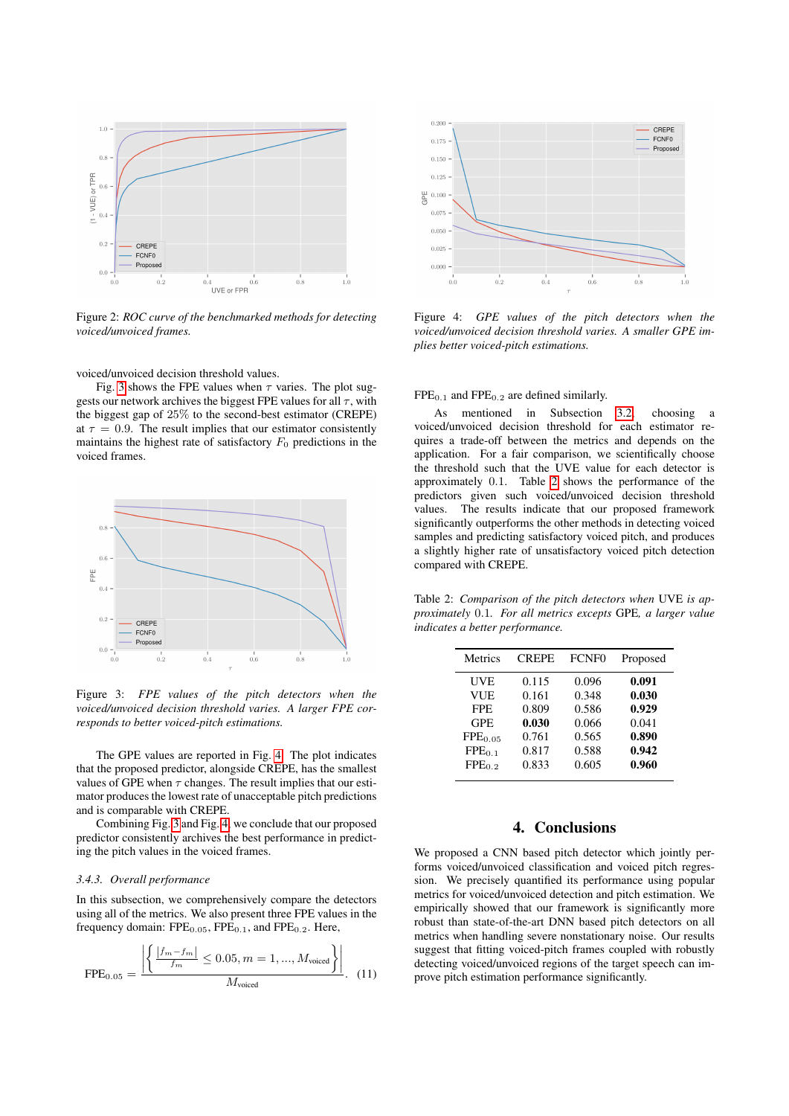<span id="page-3-1"></span>

Figure 2: *ROC curve of the benchmarked methods for detecting voiced/unvoiced frames.*

voiced/unvoiced decision threshold values.

Fig. [3](#page-3-2) shows the FPE values when  $\tau$  varies. The plot suggests our network archives the biggest FPE values for all  $\tau$ , with the biggest gap of 25% to the second-best estimator (CREPE) at  $\tau = 0.9$ . The result implies that our estimator consistently maintains the highest rate of satisfactory  $F_0$  predictions in the voiced frames.

<span id="page-3-2"></span>

Figure 3: *FPE values of the pitch detectors when the voiced/unvoiced decision threshold varies. A larger FPE corresponds to better voiced-pitch estimations.*

The GPE values are reported in Fig. [4.](#page-3-3) The plot indicates that the proposed predictor, alongside CREPE, has the smallest values of GPE when  $\tau$  changes. The result implies that our estimator produces the lowest rate of unacceptable pitch predictions and is comparable with CREPE.

Combining Fig. [3](#page-3-2) and Fig. [4,](#page-3-3) we conclude that our proposed predictor consistently archives the best performance in predicting the pitch values in the voiced frames.

#### *3.4.3. Overall performance*

In this subsection, we comprehensively compare the detectors using all of the metrics. We also present three FPE values in the frequency domain:  $\text{FPE}_{0.05}$ ,  $\text{FPE}_{0.1}$ , and  $\text{FPE}_{0.2}$ . Here,

$$
FPE_{0.05} = \frac{\left| \left\{ \frac{|f_m - f_m|}{f_m} \le 0.05, m = 1, ..., M_{\text{voiced}} \right\} \right|}{M_{\text{voiced}}}.
$$
 (11)

<span id="page-3-3"></span>

Figure 4: *GPE values of the pitch detectors when the voiced/unvoiced decision threshold varies. A smaller GPE implies better voiced-pitch estimations.*

#### $FPE<sub>0.1</sub>$  and  $FPE<sub>0.2</sub>$  are defined similarly.

As mentioned in Subsection [3.2,](#page-2-0) choosing a voiced/unvoiced decision threshold for each estimator requires a trade-off between the metrics and depends on the application. For a fair comparison, we scientifically choose the threshold such that the UVE value for each detector is approximately 0.1. Table [2](#page-3-4) shows the performance of the predictors given such voiced/unvoiced decision threshold values. The results indicate that our proposed framework significantly outperforms the other methods in detecting voiced samples and predicting satisfactory voiced pitch, and produces a slightly higher rate of unsatisfactory voiced pitch detection compared with CREPE.

<span id="page-3-4"></span>Table 2: *Comparison of the pitch detectors when* UVE *is approximately* 0.1*. For all metrics excepts* GPE*, a larger value indicates a better performance.*

| Metrics             | <b>CREPE</b> | FCNF <sub>0</sub> | Proposed |
|---------------------|--------------|-------------------|----------|
| <b>UVE</b>          | 0.115        | 0.096             | 0.091    |
| <b>VUE</b>          | 0.161        | 0.348             | 0.030    |
| <b>FPE</b>          | 0.809        | 0.586             | 0.929    |
| <b>GPE</b>          | 0.030        | 0.066             | 0.041    |
| FPE <sub>0.05</sub> | 0.761        | 0.565             | 0.890    |
| $FPE_{0.1}$         | 0.817        | 0.588             | 0.942    |
| FPE <sub>0.2</sub>  | 0.833        | 0.605             | 0.960    |
|                     |              |                   |          |

## 4. Conclusions

<span id="page-3-0"></span>We proposed a CNN based pitch detector which jointly performs voiced/unvoiced classification and voiced pitch regression. We precisely quantified its performance using popular metrics for voiced/unvoiced detection and pitch estimation. We empirically showed that our framework is significantly more robust than state-of-the-art DNN based pitch detectors on all metrics when handling severe nonstationary noise. Our results suggest that fitting voiced-pitch frames coupled with robustly detecting voiced/unvoiced regions of the target speech can improve pitch estimation performance significantly.